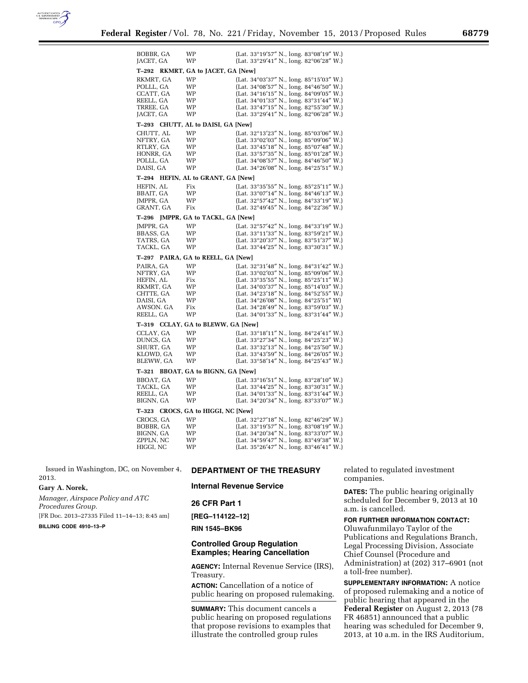

| BOBBR, GA<br>JACET, GA                |  | WP<br>WP                           | (Lat. $33^{\circ}19'57''$ N., long. $83^{\circ}08'19''$ W.)<br>(Lat. 33°29'41" N., long. 82°06'28" W.) |
|---------------------------------------|--|------------------------------------|--------------------------------------------------------------------------------------------------------|
| T–292                                 |  | RKMRT, GA to JACET, GA [New]       |                                                                                                        |
| RKMRT, GA                             |  | WP                                 | (Lat. 34°03'37" N., long. 85°15'03" W.)                                                                |
| POLLL, GA                             |  | WP                                 | (Lat. $34^{\circ}08'57''$ N., long. $84^{\circ}46'50''$ W.)                                            |
| CCATT, GA                             |  | WP                                 | (Lat. 34°16'15" N., long. 84°09'05" W.)                                                                |
|                                       |  |                                    |                                                                                                        |
| REELL, GA                             |  | WP                                 | (Lat. $34^{\circ}01'33''$ N., long. $83^{\circ}31'44''$ W.)                                            |
| TRREE, GA                             |  | WP                                 | (Lat. 33°47'15" N., long. 82°55'30" W.)                                                                |
| JACET, GA                             |  | WP                                 | (Lat. $33^{\circ}29'41''$ N., long. $82^{\circ}06'28''$ W.)                                            |
| T–293                                 |  | CHUTT, AL to DAISI, GA [New]       |                                                                                                        |
| CHUTT, AL                             |  | WP                                 | (Lat. 32°13'23" N., long. 85°03'06" W.)                                                                |
| NFTRY, GA                             |  | WP                                 | (Lat. 33°02'03" N., long. 85°09'06" W.)                                                                |
| RTLRY, GA                             |  | WP                                 | (Lat. 33°45'18" N., long. 85°07'48" W.)                                                                |
| HONRR, GA                             |  | WP                                 | (Lat. 33°57'35" N., long. 85°01'28" W.)                                                                |
| POLLL, GA                             |  | WP                                 | (Lat. $34^{\circ}08'57''$ N., long. $84^{\circ}46'50''$ W.)                                            |
| DAISI, GA                             |  | WP                                 | (Lat. 34°26′08″ N., long. 84°25′51″ W.)                                                                |
| T–294                                 |  | HEFIN, AL to GRANT, GA [New]       |                                                                                                        |
| HEFIN, AL                             |  | Fix                                | (Lat. 33°35′55″ N., long. 85°25′11″ W.)                                                                |
| BBAIT, GA                             |  | WP                                 | (Lat. $33^{\circ}07'14''$ N., long. $84^{\circ}46'13''$ W.)                                            |
| JMPPR, GA                             |  | WP                                 | (Lat. 32°57'42" N., long. 84°33'19" W.)                                                                |
| GRANT, GA                             |  | Fix                                | (Lat. 32°49'45" N., long. 84°22'36" W.)                                                                |
| T–296                                 |  | JMPPR, GA to TACKL, GA [New]       |                                                                                                        |
|                                       |  |                                    |                                                                                                        |
| JMPPR, GA                             |  | WP                                 | (Lat. 32°57'42" N., long. 84°33'19" W.)                                                                |
| BBASS, GA                             |  | WP                                 | (Lat. 33°11'33" N., long. 83°59'21" W.)                                                                |
| TATRS, GA                             |  | WP                                 | (Lat. $33^{\circ}20'37''$ N., long. $83^{\circ}51'37''$ W.)                                            |
| TACKL, GA                             |  | WP                                 | (Lat. 33°44'25" N., long. 83°30'31" W.)                                                                |
| PAIRA, GA to REELL, GA [New]<br>T–297 |  |                                    |                                                                                                        |
|                                       |  |                                    |                                                                                                        |
|                                       |  | WP                                 |                                                                                                        |
| PAIRA, GA                             |  |                                    | (Lat. 32°31'48" N., long. 84°31'42" W.)                                                                |
| NFTRY, GA                             |  | WP                                 | (Lat. $33^{\circ}02'03''$ N., long. $85^{\circ}09'06''$ W.)                                            |
| HEFIN, AL                             |  | Fix                                | (Lat. 33°35'55" N., long. 85°25'11" W.)                                                                |
| RKMRT, GA                             |  | WP                                 | (Lat. 34°03'37" N., long. 85°14'03" W.)                                                                |
| CHTTE, GA                             |  | WP                                 | (Lat. 34°23'18" N., long. 84°52'55" W.)                                                                |
| DAISI, GA                             |  | WP                                 | (Lat. $34^{\circ}26'08''$ N., long. $84^{\circ}25'51''$ W)                                             |
| AWSON. GA                             |  | Fix                                | (Lat. $34^{\circ}28'49''$ N., long. $83^{\circ}59'03''$ W.)                                            |
| REELL, GA                             |  | WP                                 | (Lat. $34^{\circ}01'33''$ N., long. $83^{\circ}31'44''$ W.)                                            |
| T–319                                 |  | CCLAY, GA to BLEWW, GA [New]       |                                                                                                        |
| CCLAY, GA                             |  | WP                                 | (Lat. 33°18'11" N., long. 84°24'41" W.)                                                                |
| DUNCS, GA                             |  | WP                                 | (Lat. 33°27'34" N., long. 84°25'23" W.)                                                                |
| SHURT, GA                             |  | WP                                 | (Lat. 33°32'13" N., long. 84°25'50" W.)                                                                |
| KLOWD, GA                             |  | WP                                 |                                                                                                        |
| BLEWW, GA                             |  | WP                                 | (Lat. 33°43'59" N., long. 84°26'05" W.)                                                                |
|                                       |  |                                    | (Lat. 33°58'14" N., long. 84°25'43" W.)                                                                |
|                                       |  | T-321 BBOAT, GA to BIGNN, GA [New] |                                                                                                        |
| BBOAT, GA                             |  | WP                                 | (Lat. 33°16'51" N., long. 83°28'10" W.)                                                                |
| TACKL, GA                             |  | WP                                 | (Lat. 33°44'25" N., long. 83°30'31" W.)                                                                |
| REELL, GA                             |  | WP                                 | (Lat. 34°01'33" N., long. 83°31'44" W.)                                                                |
| BIGNN, GA                             |  | WP                                 | (Lat. $34^{\circ}20'34''$ N., long. $83^{\circ}33'07''$ W.)                                            |
| T-323                                 |  | CROCS, GA to HIGGI, NC [New]       |                                                                                                        |
| CROCS, GA                             |  | WP                                 | (Lat. 32°27'18" N., long. 82°46'29" W.)                                                                |
| BOBBR, GA                             |  | WP                                 | (Lat. 33°19'57" N., long. 83°08'19" W.)                                                                |
| BIGNN, GA                             |  | WP                                 | (Lat. 34°20'34" N., long. 83°33'07" W.)                                                                |
| ZPPLN, NC                             |  | WP                                 |                                                                                                        |
| HIGGI, NC                             |  | WP                                 | (Lat. 34°59'47" N., long. 83°49'38" W.)<br>(Lat. $35^{\circ}26'47''$ N., long. $83^{\circ}46'41''$ W.) |

Issued in Washington, DC, on November 4, 2013.

#### **Gary A. Norek,**

*Manager, Airspace Policy and ATC Procedures Group.*  [FR Doc. 2013–27335 Filed 11–14–13; 8:45 am]

### **BILLING CODE 4910–13–P**

# **DEPARTMENT OF THE TREASURY**

### **Internal Revenue Service**

### **26 CFR Part 1**

**[REG–114122–12]** 

#### **RIN 1545–BK96**

### **Controlled Group Regulation Examples; Hearing Cancellation**

**AGENCY:** Internal Revenue Service (IRS), Treasury.

**ACTION:** Cancellation of a notice of public hearing on proposed rulemaking.

**SUMMARY:** This document cancels a public hearing on proposed regulations that propose revisions to examples that illustrate the controlled group rules

related to regulated investment companies.

**DATES:** The public hearing originally scheduled for December 9, 2013 at 10 a.m. is cancelled.

## **FOR FURTHER INFORMATION CONTACT:**

Oluwafunmilayo Taylor of the Publications and Regulations Branch, Legal Processing Division, Associate Chief Counsel (Procedure and Administration) at (202) 317–6901 (not a toll-free number).

**SUPPLEMENTARY INFORMATION:** A notice of proposed rulemaking and a notice of public hearing that appeared in the **Federal Register** on August 2, 2013 (78 FR 46851) announced that a public hearing was scheduled for December 9, 2013, at 10 a.m. in the IRS Auditorium,